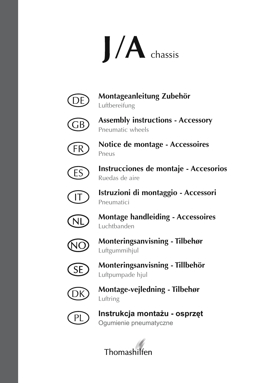



**Montageanleitung Zubehör** Luftbereifung



**Assembly instructions - Accessory** Pneumatic wheels



**Notice de montage - Accessoires** Pneus



**Instrucciones de montaje - Accesorios** Ruedas de aire



**Istruzioni di montaggio - Accessori** Pneumatici



**Montage handleiding - Accessoires** Luchtbanden



**Monteringsanvisning - Tilbehør**  Luftgummihjul



**Monteringsanvisning - Tillbehör**  Luftpumpade hjul



**Montage-vejledning - Tilbehør**  Luftring



**Instrukcja montażu - osprzęt** Ogumienie pneumatyczne

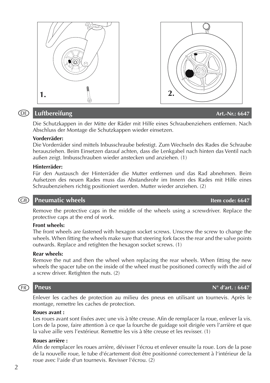# Enlever les caches de protection au milieu des pneus en utilisant un tournevis. Après le montage, remettre les caches de protection.

### **Roues avant :**

Les roues avant sont fixées avec une vis à tête creuse. Afin de remplacer la roue, enlever la vis. Lors de la pose, faire attention à ce que la fourche de guidage soit dirigée vers l'arrière et que la valve aille vers l'extérieur. Remettre les vis à tête creuse et les revisser. (1)

#### **Roues arrière :**

Afin de remplacer les roues arrière, dévisser l'écrou et enlever ensuite la roue. Lors de la pose de la nouvelle roue, le tube d'écartement doit être positionné correctement à l'intérieur de la roue avec l'aide d'un tournevis. Revisser l'écrou. (2)

# *DE* Luftbereifung **Art.-Nr.: 6647**

Die Schutzkappen in der Mitte der Räder mit Hilfe eines Schraubenziehers entfernen. Nach Abschluss der Montage die Schutzkappen wieder einsetzen.

## **Vorderräder:**

Die Vorderräder sind mittels Inbusschraube befestigt. Zum Wechseln des Rades die Schraube herausziehen. Beim Einsetzen darauf achten, dass die Lenkgabel nach hinten das Ventil nach außen zeigt. Imbusschrauben wieder anstecken und anziehen. (1)

### **Hinterräder:**

Für den Austausch der Hinterräder die Mutter entfernen und das Rad abnehmen. Beim Aufsetzen des neuen Rades muss das Abstandsrohr im Innern des Rades mit Hilfe eines Schraubenziehers richtig positioniert werden. Mutter wieder anziehen. (2)

# **CB** Pneumatic wheels **Item code: 6647**

Remove the protective caps in the middle of the wheels using a screwdriver. Replace the protective caps at the end of work.

### **Front wheels:**

The front wheels are fastened with hexagon socket screws. Unscrew the screw to change the wheels. When fitting the wheels make sure that steering fork faces the rear and the valve points outwards. Replace and retighten the hexagon socket screws. (1)

### **Rear wheels:**

Remove the nut and then the wheel when replacing the rear wheels. When fitting the new wheels the spacer tube on the inside of the wheel must be positioned correctly with the aid of a screw driver. Retighten the nuts. (2)

#### **Pneus N° d'art.: 6647**

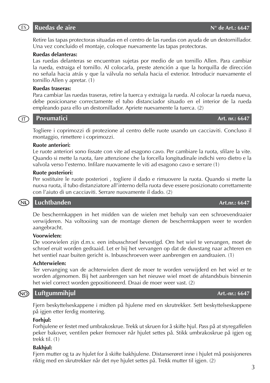Retire las tapas protectoras situadas en el centro de las ruedas con ayuda de un destornillador. Una vez concluido el montaje, coloque nuevamente las tapas protectoras.

## **Ruedas delanteras:**

Las ruedas delanteras se encuentran sujetas por medio de un tornillo Allen. Para cambiar la rueda, extraiga el tornillo. Al colocarla, preste atención a que la horquilla de dirección no señala hacia atrás y que la válvula no señala hacia el exterior. Introducir nuevamente el tornillo Allen y apretar. (1)

## **Ruedas traseras:**

Para cambiar las ruedas traseras, retire la tuerca y extraiga la rueda. Al colocar la rueda nueva, debe posicionarse correctamente el tubo distanciador situado en el interior de la rueda empleando para ello un destornillador. Apriete nuevamente la tuerca. (2)

#### **Pneumatici Art. nr.: 6647**  $(T)$

Togliere i coprimozzi di protezione al centro delle ruote usando un cacciaviti. Concluso il montaggio, rimettere i coprimozzi.

### **Ruote anteriori:**

Le ruote anteriori sono fissate con vite ad esagono cavo. Per cambiare la ruota, sfilare la vite. Quando si mette la ruota, fare attenzione che la forcella longitudinale indichi vero dietro e la valvola verso l'esterno. Infilare nuovamente le viti ad esagono cavo e serrare (1)

#### **Ruote posteriori:**

Per sostituire le ruote posteriori , togliere il dado e rimuovere la ruota. Quando si mette la nuova ruota, il tubo distanziatore all'interno della ruota deve essere posizionato correttamente con l'aiuto di un cacciaviti. Serrare nuovamente il dado. (2)

#### (ND) **Luchtbanden Art.nr.: 6647**

De beschermkappen in het midden van de wielen met behulp van een schroevendraaier verwijderen. Na voltooiing van de montage dienen de beschermkappen weer te worden aangebracht.

### **Voorwielen:**

De voorwielen zijn d.m.v. een inbusschroef bevestigd. Om het wiel te vervangen, moet de schroef eruit worden gedraaid. Let er bij het vervangen op dat de duwstang naar achteren en het ventiel naar buiten gericht is. Inbusschroeven weer aanbrengen en aandraaien. (1)

### **Achterwielen:**

Ter vervanging van de achterwielen dient de moer te worden verwijderd en het wiel er te worden afgenomen. Bij het aanbrengen van het nieuwe wiel moet de afstandsbuis binnenin het wiel correct worden gepositioneerd. Draai de moer weer vast. (2)

# *MO* Luftgummihjul **Art.-nr.: 6647**

Fjern beskyttelseskappene i midten på hjulene med en skrutrekker. Sett beskyttelseskappene på igjen etter ferdig montering.

### **Forhjul:**

Forhjulene er festet med umbrakoskrue. Trekk ut skruen for å skifte hjul. Pass på at styregaffelen peker bakover, ventilen peker fremover når hjulet settes på. Stikk umbrakoskrue på igjen og trekk til. (1)

## **Bakhjul:**

Fjern mutter og ta av hjulet for å skifte bakhjulene. Distanserøret inne i hjulet må posisjoneres riktig med en skrutrekker når det nye hjulet settes på. Trekk mutter til igjen. (2)